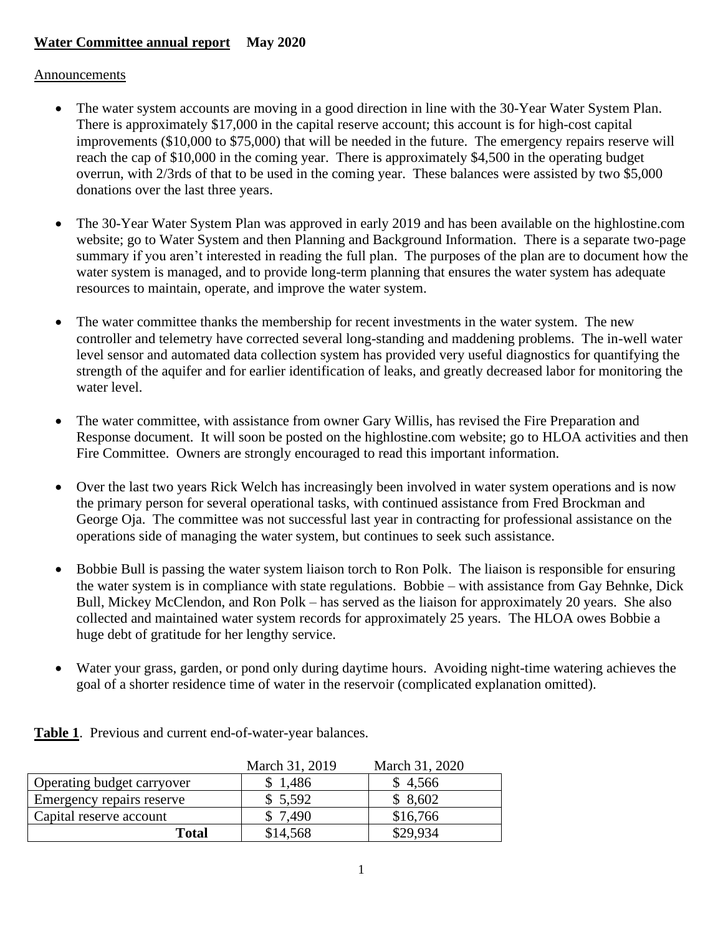## **Water Committee annual report May 2020**

## **Announcements**

- The water system accounts are moving in a good direction in line with the 30-Year Water System Plan. There is approximately \$17,000 in the capital reserve account; this account is for high-cost capital improvements (\$10,000 to \$75,000) that will be needed in the future. The emergency repairs reserve will reach the cap of \$10,000 in the coming year. There is approximately \$4,500 in the operating budget overrun, with 2/3rds of that to be used in the coming year. These balances were assisted by two \$5,000 donations over the last three years.
- The 30-Year Water System Plan was approved in early 2019 and has been available on the highlostine.com website; go to Water System and then Planning and Background Information. There is a separate two-page summary if you aren't interested in reading the full plan. The purposes of the plan are to document how the water system is managed, and to provide long-term planning that ensures the water system has adequate resources to maintain, operate, and improve the water system.
- The water committee thanks the membership for recent investments in the water system. The new controller and telemetry have corrected several long-standing and maddening problems. The in-well water level sensor and automated data collection system has provided very useful diagnostics for quantifying the strength of the aquifer and for earlier identification of leaks, and greatly decreased labor for monitoring the water level.
- The water committee, with assistance from owner Gary Willis, has revised the Fire Preparation and Response document. It will soon be posted on the highlostine.com website; go to HLOA activities and then Fire Committee. Owners are strongly encouraged to read this important information.
- Over the last two years Rick Welch has increasingly been involved in water system operations and is now the primary person for several operational tasks, with continued assistance from Fred Brockman and George Oja. The committee was not successful last year in contracting for professional assistance on the operations side of managing the water system, but continues to seek such assistance.
- Bobbie Bull is passing the water system liaison torch to Ron Polk. The liaison is responsible for ensuring the water system is in compliance with state regulations. Bobbie – with assistance from Gay Behnke, Dick Bull, Mickey McClendon, and Ron Polk – has served as the liaison for approximately 20 years. She also collected and maintained water system records for approximately 25 years. The HLOA owes Bobbie a huge debt of gratitude for her lengthy service.
- Water your grass, garden, or pond only during daytime hours. Avoiding night-time watering achieves the goal of a shorter residence time of water in the reservoir (complicated explanation omitted).

|                            | March 31, 2019 | March 31, 2020 |
|----------------------------|----------------|----------------|
| Operating budget carryover | \$1,486        | \$4,566        |
| Emergency repairs reserve  | \$5,592        | \$8,602        |
| Capital reserve account    | \$7,490        | \$16,766       |
| Total                      | \$14,568       | \$29,934       |

**Table 1**. Previous and current end-of-water-year balances.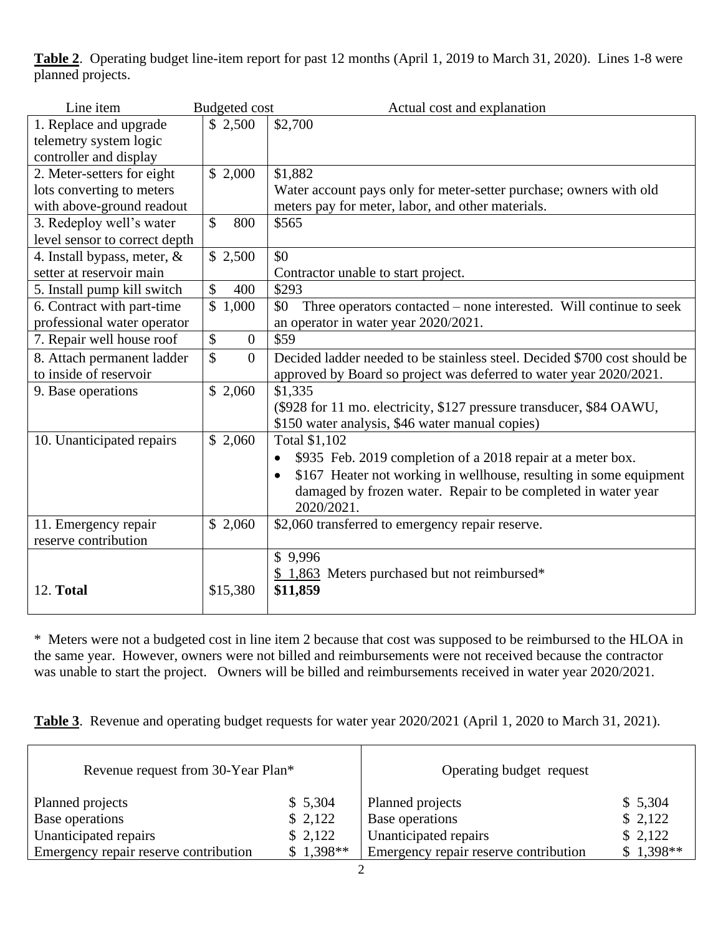**Table 2**. Operating budget line-item report for past 12 months (April 1, 2019 to March 31, 2020). Lines 1-8 were planned projects.

| \$2,700<br>1. Replace and upgrade<br>\$2,500<br>telemetry system logic<br>controller and display<br>\$1,882<br>\$2,000<br>2. Meter-setters for eight<br>lots converting to meters<br>Water account pays only for meter-setter purchase; owners with old<br>with above-ground readout<br>meters pay for meter, labor, and other materials.<br>3. Redeploy well's water<br>$\mathcal{S}$<br>\$565<br>800<br>level sensor to correct depth<br>\$0<br>4. Install bypass, meter, &<br>\$2,500<br>setter at reservoir main<br>Contractor unable to start project.<br>$\mathcal{S}$<br>400<br>\$293<br>5. Install pump kill switch<br>6. Contract with part-time<br>\$1,000<br>Three operators contacted – none interested. Will continue to seek<br>\$0<br>professional water operator<br>an operator in water year 2020/2021.<br>\$<br>7. Repair well house roof<br>$\mathbf{0}$<br>\$59<br>\$<br>Decided ladder needed to be stainless steel. Decided \$700 cost should be<br>8. Attach permanent ladder<br>$\overline{0}$<br>to inside of reservoir<br>approved by Board so project was deferred to water year 2020/2021.<br>\$1,335<br>\$2,060<br>9. Base operations<br>(\$928 for 11 mo. electricity, \$127 pressure transducer, \$84 OAWU,<br>\$150 water analysis, \$46 water manual copies)<br>\$2,060<br>10. Unanticipated repairs<br>Total \$1,102 |
|--------------------------------------------------------------------------------------------------------------------------------------------------------------------------------------------------------------------------------------------------------------------------------------------------------------------------------------------------------------------------------------------------------------------------------------------------------------------------------------------------------------------------------------------------------------------------------------------------------------------------------------------------------------------------------------------------------------------------------------------------------------------------------------------------------------------------------------------------------------------------------------------------------------------------------------------------------------------------------------------------------------------------------------------------------------------------------------------------------------------------------------------------------------------------------------------------------------------------------------------------------------------------------------------------------------------------------------------------------|
|                                                                                                                                                                                                                                                                                                                                                                                                                                                                                                                                                                                                                                                                                                                                                                                                                                                                                                                                                                                                                                                                                                                                                                                                                                                                                                                                                        |
|                                                                                                                                                                                                                                                                                                                                                                                                                                                                                                                                                                                                                                                                                                                                                                                                                                                                                                                                                                                                                                                                                                                                                                                                                                                                                                                                                        |
|                                                                                                                                                                                                                                                                                                                                                                                                                                                                                                                                                                                                                                                                                                                                                                                                                                                                                                                                                                                                                                                                                                                                                                                                                                                                                                                                                        |
|                                                                                                                                                                                                                                                                                                                                                                                                                                                                                                                                                                                                                                                                                                                                                                                                                                                                                                                                                                                                                                                                                                                                                                                                                                                                                                                                                        |
|                                                                                                                                                                                                                                                                                                                                                                                                                                                                                                                                                                                                                                                                                                                                                                                                                                                                                                                                                                                                                                                                                                                                                                                                                                                                                                                                                        |
|                                                                                                                                                                                                                                                                                                                                                                                                                                                                                                                                                                                                                                                                                                                                                                                                                                                                                                                                                                                                                                                                                                                                                                                                                                                                                                                                                        |
|                                                                                                                                                                                                                                                                                                                                                                                                                                                                                                                                                                                                                                                                                                                                                                                                                                                                                                                                                                                                                                                                                                                                                                                                                                                                                                                                                        |
|                                                                                                                                                                                                                                                                                                                                                                                                                                                                                                                                                                                                                                                                                                                                                                                                                                                                                                                                                                                                                                                                                                                                                                                                                                                                                                                                                        |
|                                                                                                                                                                                                                                                                                                                                                                                                                                                                                                                                                                                                                                                                                                                                                                                                                                                                                                                                                                                                                                                                                                                                                                                                                                                                                                                                                        |
|                                                                                                                                                                                                                                                                                                                                                                                                                                                                                                                                                                                                                                                                                                                                                                                                                                                                                                                                                                                                                                                                                                                                                                                                                                                                                                                                                        |
|                                                                                                                                                                                                                                                                                                                                                                                                                                                                                                                                                                                                                                                                                                                                                                                                                                                                                                                                                                                                                                                                                                                                                                                                                                                                                                                                                        |
|                                                                                                                                                                                                                                                                                                                                                                                                                                                                                                                                                                                                                                                                                                                                                                                                                                                                                                                                                                                                                                                                                                                                                                                                                                                                                                                                                        |
|                                                                                                                                                                                                                                                                                                                                                                                                                                                                                                                                                                                                                                                                                                                                                                                                                                                                                                                                                                                                                                                                                                                                                                                                                                                                                                                                                        |
|                                                                                                                                                                                                                                                                                                                                                                                                                                                                                                                                                                                                                                                                                                                                                                                                                                                                                                                                                                                                                                                                                                                                                                                                                                                                                                                                                        |
|                                                                                                                                                                                                                                                                                                                                                                                                                                                                                                                                                                                                                                                                                                                                                                                                                                                                                                                                                                                                                                                                                                                                                                                                                                                                                                                                                        |
|                                                                                                                                                                                                                                                                                                                                                                                                                                                                                                                                                                                                                                                                                                                                                                                                                                                                                                                                                                                                                                                                                                                                                                                                                                                                                                                                                        |
|                                                                                                                                                                                                                                                                                                                                                                                                                                                                                                                                                                                                                                                                                                                                                                                                                                                                                                                                                                                                                                                                                                                                                                                                                                                                                                                                                        |
|                                                                                                                                                                                                                                                                                                                                                                                                                                                                                                                                                                                                                                                                                                                                                                                                                                                                                                                                                                                                                                                                                                                                                                                                                                                                                                                                                        |
|                                                                                                                                                                                                                                                                                                                                                                                                                                                                                                                                                                                                                                                                                                                                                                                                                                                                                                                                                                                                                                                                                                                                                                                                                                                                                                                                                        |
|                                                                                                                                                                                                                                                                                                                                                                                                                                                                                                                                                                                                                                                                                                                                                                                                                                                                                                                                                                                                                                                                                                                                                                                                                                                                                                                                                        |
| \$935 Feb. 2019 completion of a 2018 repair at a meter box.<br>$\bullet$                                                                                                                                                                                                                                                                                                                                                                                                                                                                                                                                                                                                                                                                                                                                                                                                                                                                                                                                                                                                                                                                                                                                                                                                                                                                               |
| \$167 Heater not working in wellhouse, resulting in some equipment                                                                                                                                                                                                                                                                                                                                                                                                                                                                                                                                                                                                                                                                                                                                                                                                                                                                                                                                                                                                                                                                                                                                                                                                                                                                                     |
| damaged by frozen water. Repair to be completed in water year                                                                                                                                                                                                                                                                                                                                                                                                                                                                                                                                                                                                                                                                                                                                                                                                                                                                                                                                                                                                                                                                                                                                                                                                                                                                                          |
| 2020/2021.                                                                                                                                                                                                                                                                                                                                                                                                                                                                                                                                                                                                                                                                                                                                                                                                                                                                                                                                                                                                                                                                                                                                                                                                                                                                                                                                             |
| \$2,060 transferred to emergency repair reserve.<br>11. Emergency repair<br>\$2,060                                                                                                                                                                                                                                                                                                                                                                                                                                                                                                                                                                                                                                                                                                                                                                                                                                                                                                                                                                                                                                                                                                                                                                                                                                                                    |
| reserve contribution                                                                                                                                                                                                                                                                                                                                                                                                                                                                                                                                                                                                                                                                                                                                                                                                                                                                                                                                                                                                                                                                                                                                                                                                                                                                                                                                   |
| \$9,996                                                                                                                                                                                                                                                                                                                                                                                                                                                                                                                                                                                                                                                                                                                                                                                                                                                                                                                                                                                                                                                                                                                                                                                                                                                                                                                                                |
| \$1,863 Meters purchased but not reimbursed*                                                                                                                                                                                                                                                                                                                                                                                                                                                                                                                                                                                                                                                                                                                                                                                                                                                                                                                                                                                                                                                                                                                                                                                                                                                                                                           |
| 12. Total<br>\$11,859<br>\$15,380                                                                                                                                                                                                                                                                                                                                                                                                                                                                                                                                                                                                                                                                                                                                                                                                                                                                                                                                                                                                                                                                                                                                                                                                                                                                                                                      |

\* Meters were not a budgeted cost in line item 2 because that cost was supposed to be reimbursed to the HLOA in the same year. However, owners were not billed and reimbursements were not received because the contractor was unable to start the project. Owners will be billed and reimbursements received in water year 2020/2021.

**Table 3**. Revenue and operating budget requests for water year 2020/2021 (April 1, 2020 to March 31, 2021).

| Revenue request from 30-Year Plan*    |            | Operating budget request              |            |
|---------------------------------------|------------|---------------------------------------|------------|
| Planned projects                      | \$5,304    | Planned projects                      | \$5,304    |
| Base operations                       | \$2,122    | Base operations                       | \$2,122    |
| Unanticipated repairs                 | \$2,122    | Unanticipated repairs                 | \$2,122    |
| Emergency repair reserve contribution | $$1,398**$ | Emergency repair reserve contribution | $$1,398**$ |